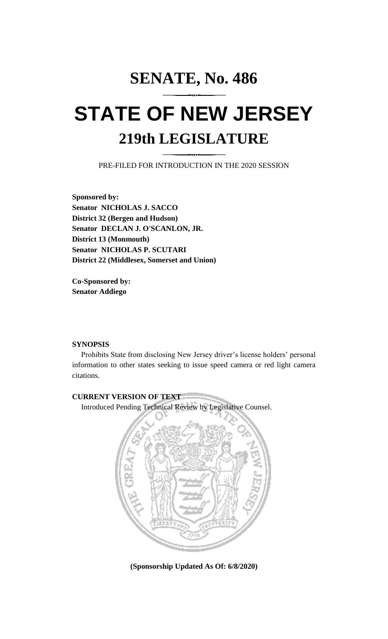# **SENATE, No. 486 STATE OF NEW JERSEY 219th LEGISLATURE**

PRE-FILED FOR INTRODUCTION IN THE 2020 SESSION

**Sponsored by: Senator NICHOLAS J. SACCO District 32 (Bergen and Hudson) Senator DECLAN J. O'SCANLON, JR. District 13 (Monmouth) Senator NICHOLAS P. SCUTARI District 22 (Middlesex, Somerset and Union)**

**Co-Sponsored by: Senator Addiego**

## **SYNOPSIS**

Prohibits State from disclosing New Jersey driver's license holders' personal information to other states seeking to issue speed camera or red light camera citations.

## **CURRENT VERSION OF TEXT**

Introduced Pending Technical Review by Legislative Counsel.



**(Sponsorship Updated As Of: 6/8/2020)**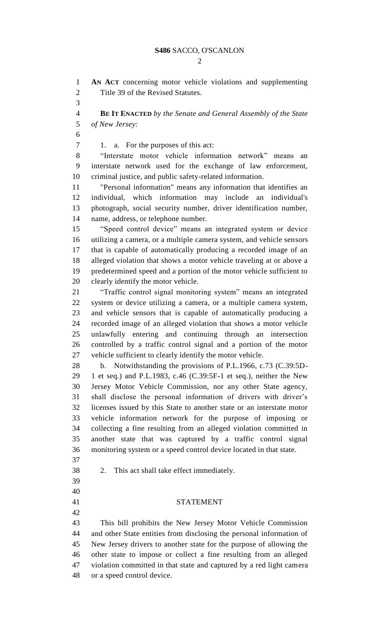$\mathcal{D}$ 

 **AN ACT** concerning motor vehicle violations and supplementing Title 39 of the Revised Statutes.

 **BE IT ENACTED** *by the Senate and General Assembly of the State of New Jersey:*

7 1. a. For the purposes of this act:

 "Interstate motor vehicle information network" means an interstate network used for the exchange of law enforcement, criminal justice, and public safety-related information.

 "Personal information" means any information that identifies an individual, which information may include an individual's photograph, social security number, driver identification number, name, address, or telephone number.

 "Speed control device" means an integrated system or device utilizing a camera, or a multiple camera system, and vehicle sensors that is capable of automatically producing a recorded image of an alleged violation that shows a motor vehicle traveling at or above a predetermined speed and a portion of the motor vehicle sufficient to clearly identify the motor vehicle.

 "Traffic control signal monitoring system" means an integrated system or device utilizing a camera, or a multiple camera system, and vehicle sensors that is capable of automatically producing a recorded image of an alleged violation that shows a motor vehicle unlawfully entering and continuing through an intersection controlled by a traffic control signal and a portion of the motor vehicle sufficient to clearly identify the motor vehicle.

 b. Notwithstanding the provisions of P.L.1966, c.73 (C.39:5D- 1 et seq.) and P.L.1983, c.46 (C.39:5F-1 et seq.), neither the New Jersey Motor Vehicle Commission, nor any other State agency, shall disclose the personal information of drivers with driver's licenses issued by this State to another state or an interstate motor vehicle information network for the purpose of imposing or collecting a fine resulting from an alleged violation committed in another state that was captured by a traffic control signal monitoring system or a speed control device located in that state.

- 
- 2. This act shall take effect immediately.
- 
- 
- 

### STATEMENT

 This bill prohibits the New Jersey Motor Vehicle Commission and other State entities from disclosing the personal information of New Jersey drivers to another state for the purpose of allowing the other state to impose or collect a fine resulting from an alleged violation committed in that state and captured by a red light camera or a speed control device.